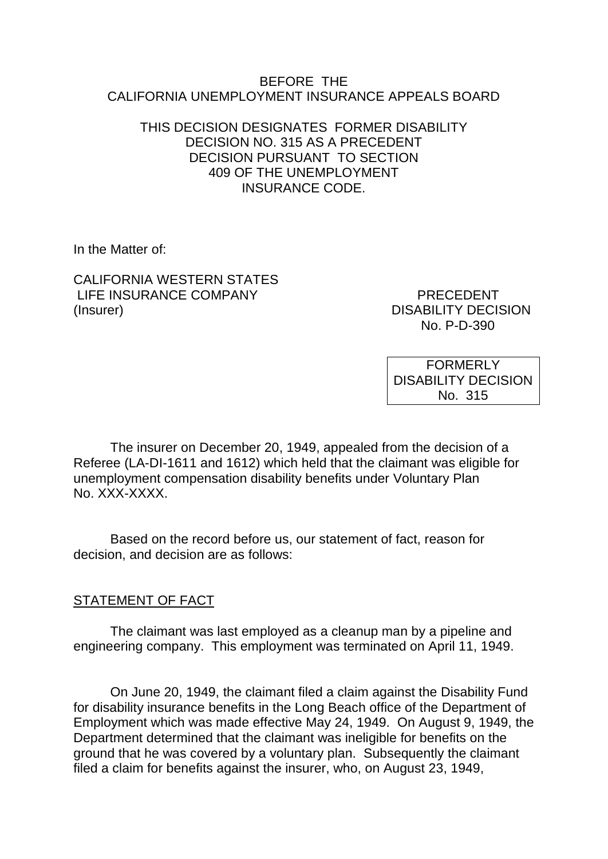#### BEFORE THE CALIFORNIA UNEMPLOYMENT INSURANCE APPEALS BOARD

### THIS DECISION DESIGNATES FORMER DISABILITY DECISION NO. 315 AS A PRECEDENT DECISION PURSUANT TO SECTION 409 OF THE UNEMPLOYMENT INSURANCE CODE.

In the Matter of:

CALIFORNIA WESTERN STATES LIFE INSURANCE COMPANY PRECEDENT (Insurer) DISABILITY DECISION

No. P-D-390

FORMERLY DISABILITY DECISION No. 315

The insurer on December 20, 1949, appealed from the decision of a Referee (LA-DI-1611 and 1612) which held that the claimant was eligible for unemployment compensation disability benefits under Voluntary Plan No. XXX-XXXX.

Based on the record before us, our statement of fact, reason for decision, and decision are as follows:

## STATEMENT OF FACT

The claimant was last employed as a cleanup man by a pipeline and engineering company. This employment was terminated on April 11, 1949.

On June 20, 1949, the claimant filed a claim against the Disability Fund for disability insurance benefits in the Long Beach office of the Department of Employment which was made effective May 24, 1949. On August 9, 1949, the Department determined that the claimant was ineligible for benefits on the ground that he was covered by a voluntary plan. Subsequently the claimant filed a claim for benefits against the insurer, who, on August 23, 1949,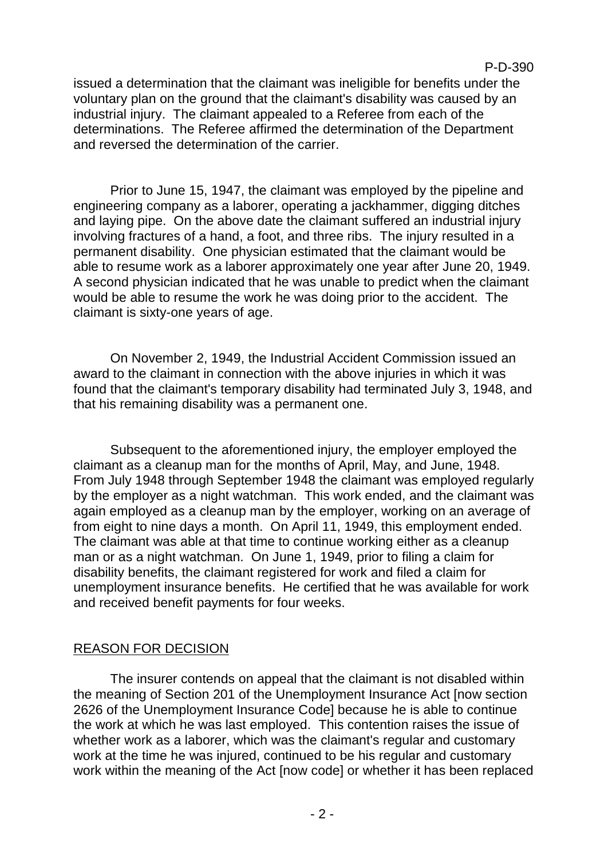issued a determination that the claimant was ineligible for benefits under the voluntary plan on the ground that the claimant's disability was caused by an industrial injury. The claimant appealed to a Referee from each of the determinations. The Referee affirmed the determination of the Department and reversed the determination of the carrier.

Prior to June 15, 1947, the claimant was employed by the pipeline and engineering company as a laborer, operating a jackhammer, digging ditches and laying pipe. On the above date the claimant suffered an industrial injury involving fractures of a hand, a foot, and three ribs. The injury resulted in a permanent disability. One physician estimated that the claimant would be able to resume work as a laborer approximately one year after June 20, 1949. A second physician indicated that he was unable to predict when the claimant would be able to resume the work he was doing prior to the accident. The claimant is sixty-one years of age.

On November 2, 1949, the Industrial Accident Commission issued an award to the claimant in connection with the above injuries in which it was found that the claimant's temporary disability had terminated July 3, 1948, and that his remaining disability was a permanent one.

Subsequent to the aforementioned injury, the employer employed the claimant as a cleanup man for the months of April, May, and June, 1948. From July 1948 through September 1948 the claimant was employed regularly by the employer as a night watchman. This work ended, and the claimant was again employed as a cleanup man by the employer, working on an average of from eight to nine days a month. On April 11, 1949, this employment ended. The claimant was able at that time to continue working either as a cleanup man or as a night watchman. On June 1, 1949, prior to filing a claim for disability benefits, the claimant registered for work and filed a claim for unemployment insurance benefits. He certified that he was available for work and received benefit payments for four weeks.

## REASON FOR DECISION

The insurer contends on appeal that the claimant is not disabled within the meaning of Section 201 of the Unemployment Insurance Act [now section 2626 of the Unemployment Insurance Code] because he is able to continue the work at which he was last employed. This contention raises the issue of whether work as a laborer, which was the claimant's regular and customary work at the time he was injured, continued to be his regular and customary work within the meaning of the Act [now code] or whether it has been replaced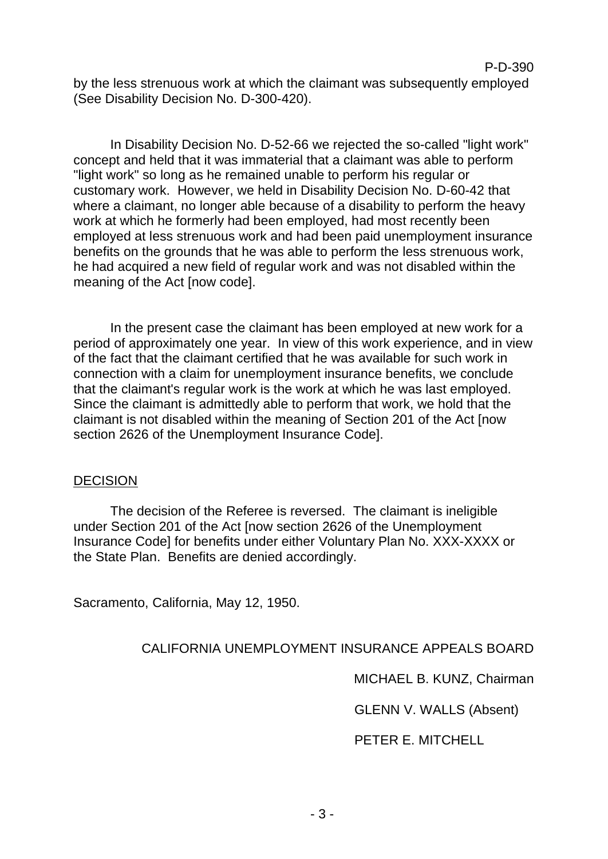by the less strenuous work at which the claimant was subsequently employed (See Disability Decision No. D-300-420).

In Disability Decision No. D-52-66 we rejected the so-called "light work" concept and held that it was immaterial that a claimant was able to perform "light work" so long as he remained unable to perform his regular or customary work. However, we held in Disability Decision No. D-60-42 that where a claimant, no longer able because of a disability to perform the heavy work at which he formerly had been employed, had most recently been employed at less strenuous work and had been paid unemployment insurance benefits on the grounds that he was able to perform the less strenuous work, he had acquired a new field of regular work and was not disabled within the meaning of the Act [now code].

In the present case the claimant has been employed at new work for a period of approximately one year. In view of this work experience, and in view of the fact that the claimant certified that he was available for such work in connection with a claim for unemployment insurance benefits, we conclude that the claimant's regular work is the work at which he was last employed. Since the claimant is admittedly able to perform that work, we hold that the claimant is not disabled within the meaning of Section 201 of the Act [now section 2626 of the Unemployment Insurance Code].

#### **DECISION**

The decision of the Referee is reversed. The claimant is ineligible under Section 201 of the Act [now section 2626 of the Unemployment Insurance Code] for benefits under either Voluntary Plan No. XXX-XXXX or the State Plan. Benefits are denied accordingly.

Sacramento, California, May 12, 1950.

### CALIFORNIA UNEMPLOYMENT INSURANCE APPEALS BOARD

MICHAEL B. KUNZ, Chairman

P-D-390

GLENN V. WALLS (Absent)

PETER E. MITCHELL